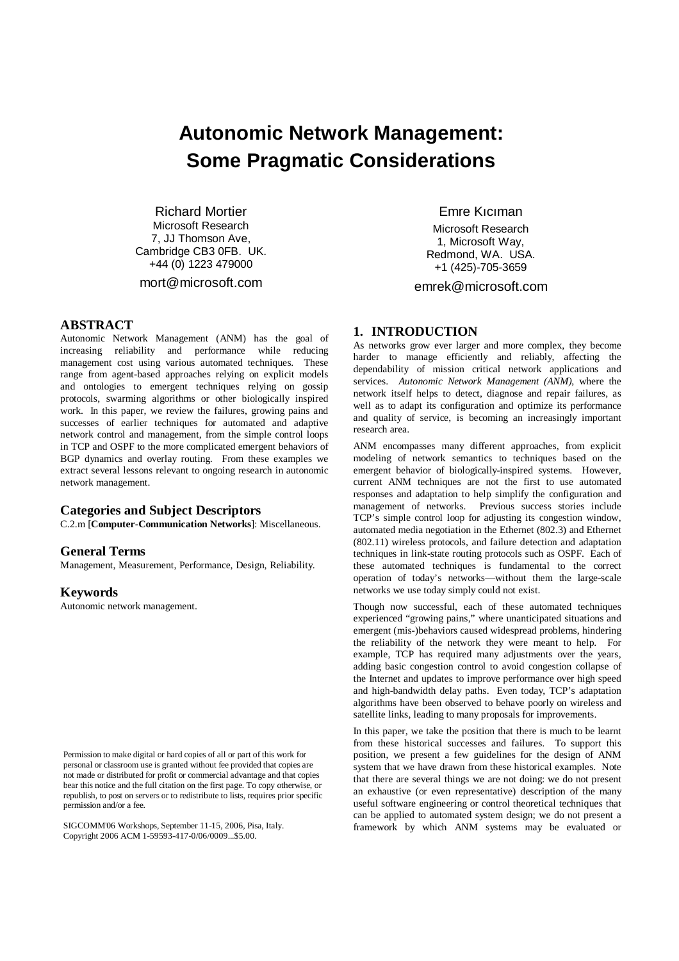# **Autonomic Network Management: Some Pragmatic Considerations**

Richard Mortier Microsoft Research 7, JJ Thomson Ave, Cambridge CB3 0FB. UK. +44 (0) 1223 479000

mort@microsoft.com

## **ABSTRACT**

Autonomic Network Management (ANM) has the goal of increasing reliability and performance while reducing management cost using various automated techniques. These range from agent-based approaches relying on explicit models and ontologies to emergent techniques relying on gossip protocols, swarming algorithms or other biologically inspired work. In this paper, we review the failures, growing pains and successes of earlier techniques for automated and adaptive network control and management, from the simple control loops in TCP and OSPF to the more complicated emergent behaviors of BGP dynamics and overlay routing. From these examples we extract several lessons relevant to ongoing research in autonomic network management.

#### **Categories and Subject Descriptors**

C.2.m [**Computer-Communication Networks**]: Miscellaneous.

#### **General Terms**

Management, Measurement, Performance, Design, Reliability.

#### **Keywords**

Autonomic network management.

Permission to make digital or hard copies of all or part of this work for personal or classroom use is granted without fee provided that copies are not made or distributed for profit or commercial advantage and that copies bear this notice and the full citation on the first page. To copy otherwise, or republish, to post on servers or to redistribute to lists, requires prior specific permission and/or a fee.

SIGCOMM'06 Workshops, September 11-15, 2006, Pisa, Italy. Copyright 2006 ACM 1-59593-417-0/06/0009...\$5.00.

Emre Kıcıman Microsoft Research 1, Microsoft Way, Redmond, WA. USA. +1 (425)-705-3659

emrek@microsoft.com

#### **1. INTRODUCTION**

As networks grow ever larger and more complex, they become harder to manage efficiently and reliably, affecting the dependability of mission critical network applications and services. *Autonomic Network Management (ANM)*, where the network itself helps to detect, diagnose and repair failures, as well as to adapt its configuration and optimize its performance and quality of service, is becoming an increasingly important research area.

ANM encompasses many different approaches, from explicit modeling of network semantics to techniques based on the emergent behavior of biologically-inspired systems. However, current ANM techniques are not the first to use automated responses and adaptation to help simplify the configuration and management of networks. Previous success stories include TCP's simple control loop for adjusting its congestion window, automated media negotiation in the Ethernet (802.3) and Ethernet (802.11) wireless protocols, and failure detection and adaptation techniques in link-state routing protocols such as OSPF. Each of these automated techniques is fundamental to the correct operation of today's networks—without them the large-scale networks we use today simply could not exist.

Though now successful, each of these automated techniques experienced "growing pains," where unanticipated situations and emergent (mis-)behaviors caused widespread problems, hindering the reliability of the network they were meant to help. For example, TCP has required many adjustments over the years, adding basic congestion control to avoid congestion collapse of the Internet and updates to improve performance over high speed and high-bandwidth delay paths. Even today, TCP's adaptation algorithms have been observed to behave poorly on wireless and satellite links, leading to many proposals for improvements.

In this paper, we take the position that there is much to be learnt from these historical successes and failures. To support this position, we present a few guidelines for the design of ANM system that we have drawn from these historical examples. Note that there are several things we are not doing: we do not present an exhaustive (or even representative) description of the many useful software engineering or control theoretical techniques that can be applied to automated system design; we do not present a framework by which ANM systems may be evaluated or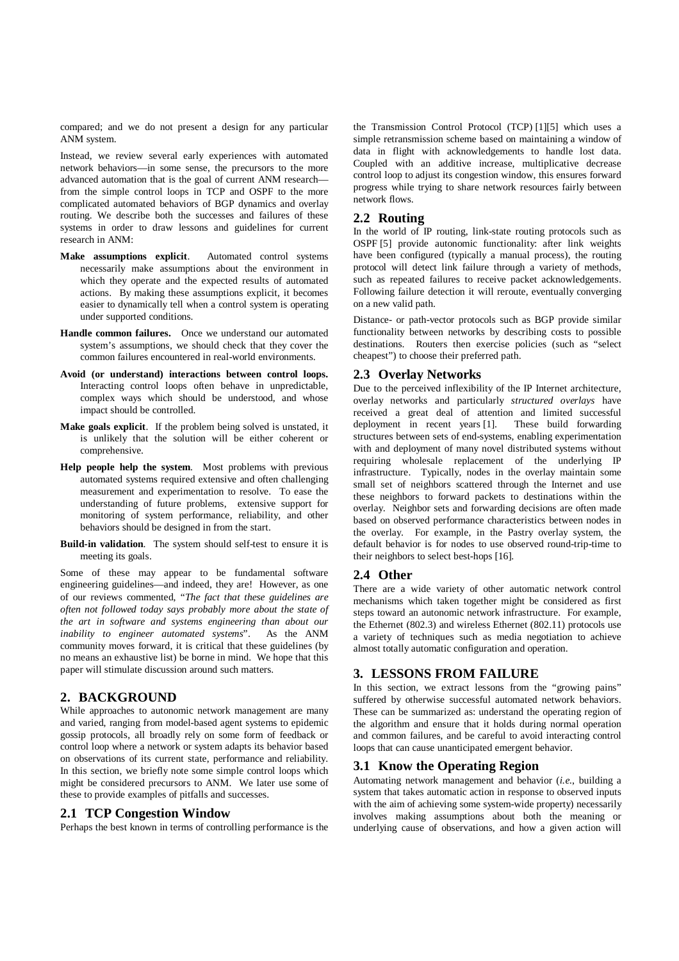compared; and we do not present a design for any particular ANM system.

Instead, we review several early experiences with automated network behaviors—in some sense, the precursors to the more advanced automation that is the goal of current ANM research from the simple control loops in TCP and OSPF to the more complicated automated behaviors of BGP dynamics and overlay routing. We describe both the successes and failures of these systems in order to draw lessons and guidelines for current research in ANM:

- **Make assumptions explicit**. Automated control systems necessarily make assumptions about the environment in which they operate and the expected results of automated actions. By making these assumptions explicit, it becomes easier to dynamically tell when a control system is operating under supported conditions.
- **Handle common failures.** Once we understand our automated system's assumptions, we should check that they cover the common failures encountered in real-world environments.
- **Avoid (or understand) interactions between control loops.** Interacting control loops often behave in unpredictable, complex ways which should be understood, and whose impact should be controlled.
- **Make goals explicit**. If the problem being solved is unstated, it is unlikely that the solution will be either coherent or comprehensive.
- **Help people help the system**. Most problems with previous automated systems required extensive and often challenging measurement and experimentation to resolve. To ease the understanding of future problems, extensive support for monitoring of system performance, reliability, and other behaviors should be designed in from the start.
- **Build-in validation**. The system should self-test to ensure it is meeting its goals.

Some of these may appear to be fundamental software engineering guidelines—and indeed, they are! However, as one of our reviews commented, "*The fact that these guidelines are often not followed today says probably more about the state of the art in software and systems engineering than about our inability to engineer automated systems*". As the ANM community moves forward, it is critical that these guidelines (by no means an exhaustive list) be borne in mind. We hope that this paper will stimulate discussion around such matters.

# **2. BACKGROUND**

While approaches to autonomic network management are many and varied, ranging from model-based agent systems to epidemic gossip protocols, all broadly rely on some form of feedback or control loop where a network or system adapts its behavior based on observations of its current state, performance and reliability. In this section, we briefly note some simple control loops which might be considered precursors to ANM. We later use some of these to provide examples of pitfalls and successes.

## **2.1 TCP Congestion Window**

Perhaps the best known in terms of controlling performance is the

the Transmission Control Protocol (TCP) [1][5] which uses a simple retransmission scheme based on maintaining a window of data in flight with acknowledgements to handle lost data. Coupled with an additive increase, multiplicative decrease control loop to adjust its congestion window, this ensures forward progress while trying to share network resources fairly between network flows.

## **2.2 Routing**

In the world of IP routing, link-state routing protocols such as OSPF [5] provide autonomic functionality: after link weights have been configured (typically a manual process), the routing protocol will detect link failure through a variety of methods, such as repeated failures to receive packet acknowledgements. Following failure detection it will reroute, eventually converging on a new valid path.

Distance- or path-vector protocols such as BGP provide similar functionality between networks by describing costs to possible destinations. Routers then exercise policies (such as "select cheapest") to choose their preferred path.

#### **2.3 Overlay Networks**

Due to the perceived inflexibility of the IP Internet architecture, overlay networks and particularly *structured overlays* have received a great deal of attention and limited successful deployment in recent years [1]. These build forwarding structures between sets of end-systems, enabling experimentation with and deployment of many novel distributed systems without requiring wholesale replacement of the underlying IP infrastructure. Typically, nodes in the overlay maintain some small set of neighbors scattered through the Internet and use these neighbors to forward packets to destinations within the overlay. Neighbor sets and forwarding decisions are often made based on observed performance characteristics between nodes in the overlay. For example, in the Pastry overlay system, the default behavior is for nodes to use observed round-trip-time to their neighbors to select best-hops [16].

#### **2.4 Other**

There are a wide variety of other automatic network control mechanisms which taken together might be considered as first steps toward an autonomic network infrastructure. For example, the Ethernet (802.3) and wireless Ethernet (802.11) protocols use a variety of techniques such as media negotiation to achieve almost totally automatic configuration and operation.

## **3. LESSONS FROM FAILURE**

In this section, we extract lessons from the "growing pains" suffered by otherwise successful automated network behaviors. These can be summarized as: understand the operating region of the algorithm and ensure that it holds during normal operation and common failures, and be careful to avoid interacting control loops that can cause unanticipated emergent behavior.

## **3.1 Know the Operating Region**

Automating network management and behavior (*i.e.*, building a system that takes automatic action in response to observed inputs with the aim of achieving some system-wide property) necessarily involves making assumptions about both the meaning or underlying cause of observations, and how a given action will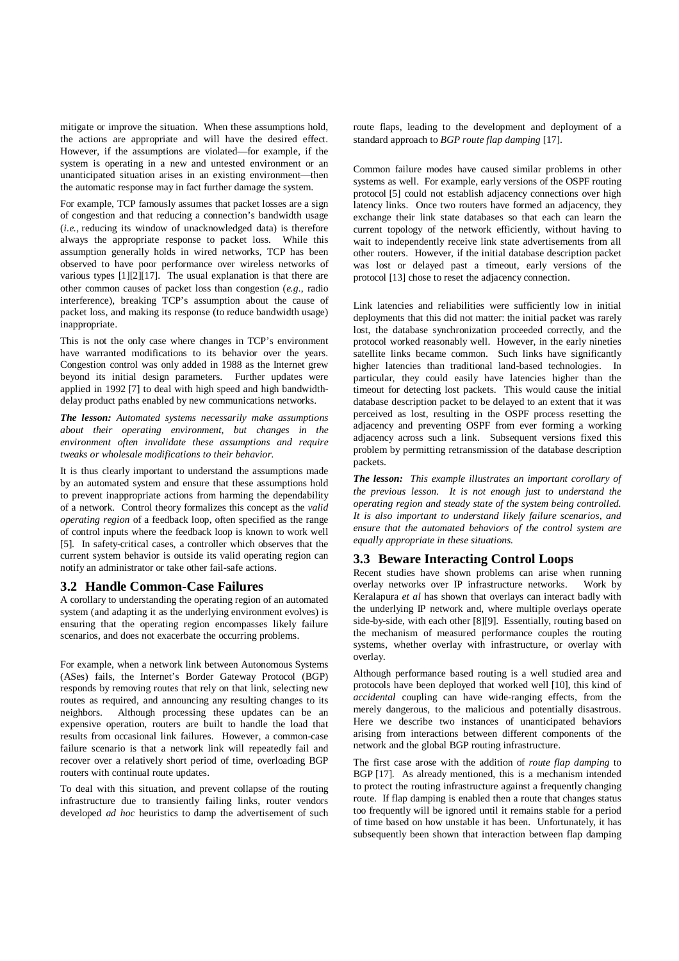mitigate or improve the situation. When these assumptions hold, the actions are appropriate and will have the desired effect. However, if the assumptions are violated—for example, if the system is operating in a new and untested environment or an unanticipated situation arises in an existing environment—then the automatic response may in fact further damage the system.

For example, TCP famously assumes that packet losses are a sign of congestion and that reducing a connection's bandwidth usage (*i.e.,* reducing its window of unacknowledged data) is therefore always the appropriate response to packet loss. While this assumption generally holds in wired networks, TCP has been observed to have poor performance over wireless networks of various types  $[1][2][17]$ . The usual explanation is that there are other common causes of packet loss than congestion (*e.g.*, radio interference), breaking TCP's assumption about the cause of packet loss, and making its response (to reduce bandwidth usage) inappropriate.

This is not the only case where changes in TCP's environment have warranted modifications to its behavior over the years. Congestion control was only added in 1988 as the Internet grew beyond its initial design parameters. Further updates were applied in 1992 [7] to deal with high speed and high bandwidthdelay product paths enabled by new communications networks.

*The lesson: Automated systems necessarily make assumptions about their operating environment, but changes in the environment often invalidate these assumptions and require tweaks or wholesale modifications to their behavior.* 

It is thus clearly important to understand the assumptions made by an automated system and ensure that these assumptions hold to prevent inappropriate actions from harming the dependability of a network. Control theory formalizes this concept as the *valid operating region* of a feedback loop, often specified as the range of control inputs where the feedback loop is known to work well [5]. In safety-critical cases, a controller which observes that the current system behavior is outside its valid operating region can notify an administrator or take other fail-safe actions.

#### **3.2 Handle Common-Case Failures**

A corollary to understanding the operating region of an automated system (and adapting it as the underlying environment evolves) is ensuring that the operating region encompasses likely failure scenarios, and does not exacerbate the occurring problems.

For example, when a network link between Autonomous Systems (ASes) fails, the Internet's Border Gateway Protocol (BGP) responds by removing routes that rely on that link, selecting new routes as required, and announcing any resulting changes to its neighbors. Although processing these updates can be an expensive operation, routers are built to handle the load that results from occasional link failures. However, a common-case failure scenario is that a network link will repeatedly fail and recover over a relatively short period of time, overloading BGP routers with continual route updates.

To deal with this situation, and prevent collapse of the routing infrastructure due to transiently failing links, router vendors developed *ad hoc* heuristics to damp the advertisement of such

route flaps, leading to the development and deployment of a standard approach to *BGP route flap damping* [17].

Common failure modes have caused similar problems in other systems as well. For example, early versions of the OSPF routing protocol [5] could not establish adjacency connections over high latency links. Once two routers have formed an adjacency, they exchange their link state databases so that each can learn the current topology of the network efficiently, without having to wait to independently receive link state advertisements from all other routers. However, if the initial database description packet was lost or delayed past a timeout, early versions of the protocol [13] chose to reset the adjacency connection.

Link latencies and reliabilities were sufficiently low in initial deployments that this did not matter: the initial packet was rarely lost, the database synchronization proceeded correctly, and the protocol worked reasonably well. However, in the early nineties satellite links became common. Such links have significantly higher latencies than traditional land-based technologies. In particular, they could easily have latencies higher than the timeout for detecting lost packets. This would cause the initial database description packet to be delayed to an extent that it was perceived as lost, resulting in the OSPF process resetting the adjacency and preventing OSPF from ever forming a working adjacency across such a link. Subsequent versions fixed this problem by permitting retransmission of the database description packets.

*The lesson: This example illustrates an important corollary of the previous lesson. It is not enough just to understand the operating region and steady state of the system being controlled. It is also important to understand likely failure scenarios, and ensure that the automated behaviors of the control system are equally appropriate in these situations.*

#### **3.3 Beware Interacting Control Loops**

Recent studies have shown problems can arise when running overlay networks over IP infrastructure networks. Work by Keralapura *et al* has shown that overlays can interact badly with the underlying IP network and, where multiple overlays operate side-by-side, with each other [8][9]. Essentially, routing based on the mechanism of measured performance couples the routing systems, whether overlay with infrastructure, or overlay with overlay.

Although performance based routing is a well studied area and protocols have been deployed that worked well [10], this kind of *accidental* coupling can have wide-ranging effects, from the merely dangerous, to the malicious and potentially disastrous. Here we describe two instances of unanticipated behaviors arising from interactions between different components of the network and the global BGP routing infrastructure.

The first case arose with the addition of *route flap damping* to BGP [17]. As already mentioned, this is a mechanism intended to protect the routing infrastructure against a frequently changing route. If flap damping is enabled then a route that changes status too frequently will be ignored until it remains stable for a period of time based on how unstable it has been. Unfortunately, it has subsequently been shown that interaction between flap damping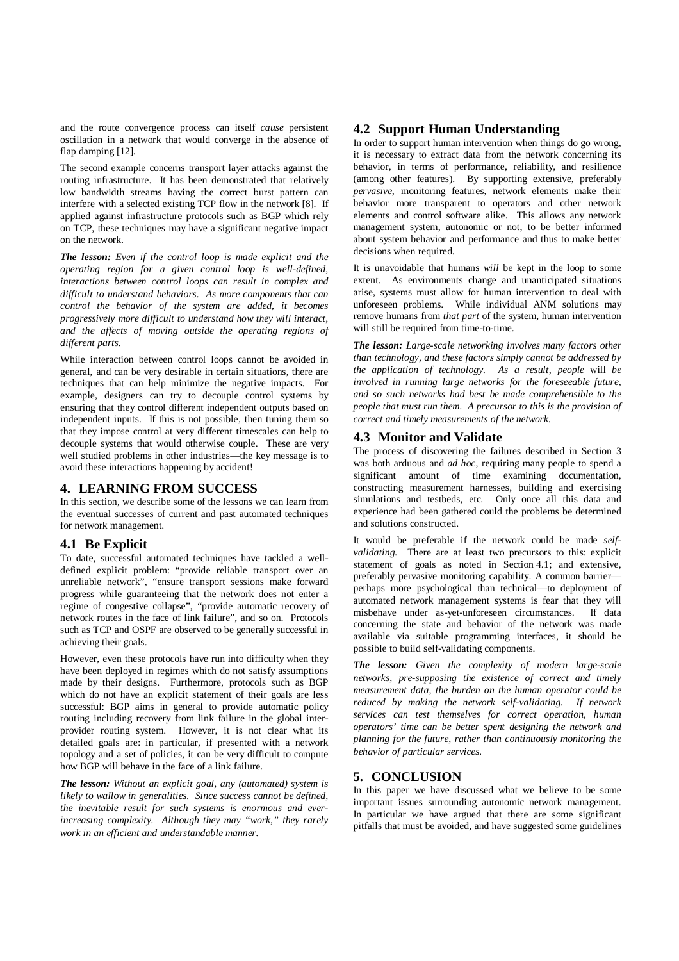and the route convergence process can itself *cause* persistent oscillation in a network that would converge in the absence of flap damping [12].

The second example concerns transport layer attacks against the routing infrastructure. It has been demonstrated that relatively low bandwidth streams having the correct burst pattern can interfere with a selected existing TCP flow in the network [8]. If applied against infrastructure protocols such as BGP which rely on TCP, these techniques may have a significant negative impact on the network.

*The lesson: Even if the control loop is made explicit and the operating region for a given control loop is well-defined, interactions between control loops can result in complex and difficult to understand behaviors. As more components that can control the behavior of the system are added, it becomes progressively more difficult to understand how they will interact, and the affects of moving outside the operating regions of different parts.* 

While interaction between control loops cannot be avoided in general, and can be very desirable in certain situations, there are techniques that can help minimize the negative impacts. For example, designers can try to decouple control systems by ensuring that they control different independent outputs based on independent inputs. If this is not possible, then tuning them so that they impose control at very different timescales can help to decouple systems that would otherwise couple. These are very well studied problems in other industries—the key message is to avoid these interactions happening by accident!

#### **4. LEARNING FROM SUCCESS**

In this section, we describe some of the lessons we can learn from the eventual successes of current and past automated techniques for network management.

## **4.1 Be Explicit**

To date, successful automated techniques have tackled a welldefined explicit problem: "provide reliable transport over an unreliable network", "ensure transport sessions make forward progress while guaranteeing that the network does not enter a regime of congestive collapse", "provide automatic recovery of network routes in the face of link failure", and so on. Protocols such as TCP and OSPF are observed to be generally successful in achieving their goals.

However, even these protocols have run into difficulty when they have been deployed in regimes which do not satisfy assumptions made by their designs. Furthermore, protocols such as BGP which do not have an explicit statement of their goals are less successful: BGP aims in general to provide automatic policy routing including recovery from link failure in the global interprovider routing system. However, it is not clear what its detailed goals are: in particular, if presented with a network topology and a set of policies, it can be very difficult to compute how BGP will behave in the face of a link failure.

*The lesson: Without an explicit goal, any (automated) system is likely to wallow in generalities. Since success cannot be defined, the inevitable result for such systems is enormous and everincreasing complexity. Although they may "work," they rarely work in an efficient and understandable manner.* 

## **4.2 Support Human Understanding**

In order to support human intervention when things do go wrong, it is necessary to extract data from the network concerning its behavior, in terms of performance, reliability, and resilience (among other features). By supporting extensive, preferably *pervasive,* monitoring features, network elements make their behavior more transparent to operators and other network elements and control software alike. This allows any network management system, autonomic or not, to be better informed about system behavior and performance and thus to make better decisions when required.

It is unavoidable that humans *will* be kept in the loop to some extent. As environments change and unanticipated situations arise, systems must allow for human intervention to deal with unforeseen problems. While individual ANM solutions may remove humans from *that part* of the system, human intervention will still be required from time-to-time.

*The lesson: Large-scale networking involves many factors other than technology, and these factors simply cannot be addressed by the application of technology. As a result, people* will *be involved in running large networks for the foreseeable future, and so such networks had best be made comprehensible to the people that must run them. A precursor to this is the provision of correct and timely measurements of the network.* 

#### **4.3 Monitor and Validate**

The process of discovering the failures described in Section 3 was both arduous and *ad hoc*, requiring many people to spend a significant amount of time examining documentation, constructing measurement harnesses, building and exercising simulations and testbeds, etc. Only once all this data and experience had been gathered could the problems be determined and solutions constructed.

It would be preferable if the network could be made *selfvalidating.* There are at least two precursors to this: explicit statement of goals as noted in Section 4.1; and extensive, preferably pervasive monitoring capability. A common barrier perhaps more psychological than technical—to deployment of automated network management systems is fear that they will misbehave under as-yet-unforeseen circumstances. If data concerning the state and behavior of the network was made available via suitable programming interfaces, it should be possible to build self-validating components.

*The lesson: Given the complexity of modern large-scale networks, pre-supposing the existence of correct and timely measurement data, the burden on the human operator could be reduced by making the network self-validating. If network services can test themselves for correct operation, human operators' time can be better spent designing the network and planning for the future, rather than continuously monitoring the behavior of particular services.* 

## **5. CONCLUSION**

In this paper we have discussed what we believe to be some important issues surrounding autonomic network management. In particular we have argued that there are some significant pitfalls that must be avoided, and have suggested some guidelines